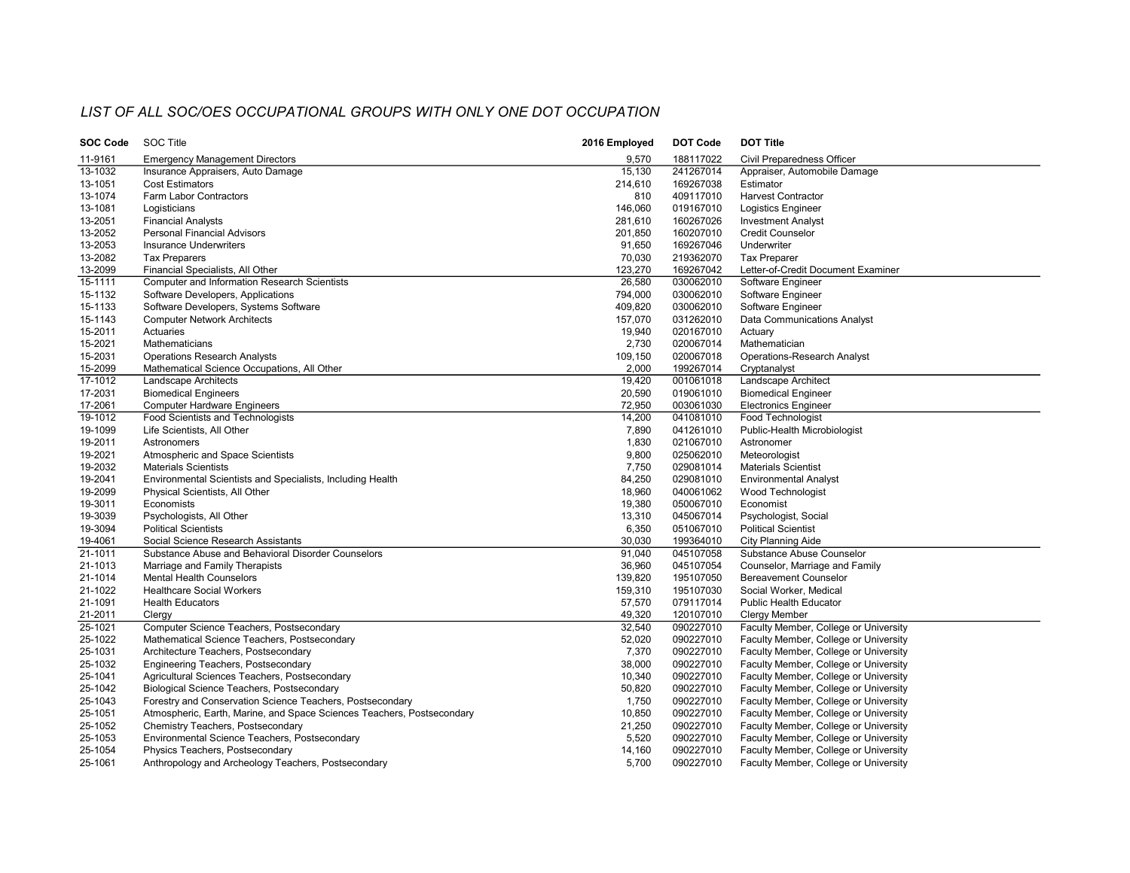## LIST OF ALL SOC/OES OCCUPATIONAL GROUPS WITH ONLY ONE DOT OCCUPATION

| SOC Code    | <b>SOC Title</b>                                                       | 2016 Employed | DOT Code               | <b>DOT Title</b>                      |
|-------------|------------------------------------------------------------------------|---------------|------------------------|---------------------------------------|
| 11-9161     | <b>Emergency Management Directors</b>                                  | 9,570         | 188117022              | Civil Preparedness Officer            |
| 13-1032     | Insurance Appraisers, Auto Damage                                      | 15,130        | 241267014              | Appraiser, Automobile Damage          |
| 13-1051     | <b>Cost Estimators</b>                                                 | 214,610       | 169267038              | Estimator                             |
| 13-1074     | Farm Labor Contractors                                                 | 810           | 409117010              | <b>Harvest Contractor</b>             |
| 13-1081     | Logisticians                                                           | 146,060       | 019167010              | <b>Logistics Engineer</b>             |
| 13-2051     | <b>Financial Analysts</b>                                              | 281,610       | 160267026              | <b>Investment Analyst</b>             |
| 13-2052     | <b>Personal Financial Advisors</b>                                     | 201,850       | 160207010              | <b>Credit Counselor</b>               |
| 13-2053     | <b>Insurance Underwriters</b>                                          | 91,650        | 169267046              | Underwriter                           |
| 13-2082     | <b>Tax Preparers</b>                                                   | 70,030        | 219362070              | <b>Tax Preparer</b>                   |
| 13-2099     | Financial Specialists, All Other                                       | 123,270       | 169267042              | Letter-of-Credit Document Examiner    |
| 15-1111     | Computer and Information Research Scientists                           | 26,580        | 030062010              | Software Engineer                     |
| 15-1132     | Software Developers, Applications                                      | 794,000       | 030062010              | Software Engineer                     |
| 15-1133     | Software Developers, Systems Software                                  | 409,820       | 030062010              | Software Engineer                     |
| 15-1143     | <b>Computer Network Architects</b>                                     | 157,070       | 031262010              | Data Communications Analyst           |
| 15-2011     | Actuaries                                                              | 19,940        | 020167010              | Actuary                               |
| 15-2021     | Mathematicians                                                         | 2,730         | 020067014              | Mathematician                         |
| 15-2031     | <b>Operations Research Analysts</b>                                    | 109,150       | 020067018              | Operations-Research Analyst           |
| 15-2099     | Mathematical Science Occupations, All Other                            | 2,000         | 199267014              | Cryptanalyst                          |
| 17-1012     | Landscape Architects                                                   | 19,420        | 001061018              | Landscape Architect                   |
| 17-2031     | <b>Biomedical Engineers</b>                                            | 20,590        | 019061010              | <b>Biomedical Engineer</b>            |
| 17-2061     | <b>Computer Hardware Engineers</b>                                     | 72,950        | 003061030              | Electronics Engineer                  |
| 19-1012     | Food Scientists and Technologists                                      | 14,200        | 041081010              | Food Technologist                     |
| 19-1099     | Life Scientists, All Other                                             | 7,890         | 041261010              | Public-Health Microbiologist          |
| 19-2011     | Astronomers                                                            | 1,830         | 021067010              | Astronomer                            |
| 19-2021     | Atmospheric and Space Scientists                                       | 9,800         | 025062010              | Meteorologist                         |
| 19-2032     | <b>Materials Scientists</b>                                            | 7,750         | 029081014              | <b>Materials Scientist</b>            |
| 19-2041     | Environmental Scientists and Specialists, Including Health             | 84,250        | 029081010              | <b>Environmental Analyst</b>          |
| 19-2099     | Physical Scientists, All Other                                         | 18,960        | 040061062              | Wood Technologist                     |
| 19-3011     | Economists                                                             | 19,380        | 050067010              | Economist                             |
| 19-3039     | Psychologists, All Other                                               | 13,310        | 045067014              | Psychologist, Social                  |
| 19-3094     | <b>Political Scientists</b>                                            | 6,350         | 051067010              | <b>Political Scientist</b>            |
| 19-4061     | Social Science Research Assistants                                     | 30,030        | 199364010              | <b>City Planning Aide</b>             |
| $21 - 1011$ | Substance Abuse and Behavioral Disorder Counselors                     | 91,040        | 045107058              | Substance Abuse Counselor             |
| 21-1013     | Marriage and Family Therapists                                         | 36,960        | 045107054              | Counselor, Marriage and Family        |
| 21-1014     | <b>Mental Health Counselors</b>                                        | 139,820       | 195107050              | <b>Bereavement Counselor</b>          |
| 21-1022     | <b>Healthcare Social Workers</b>                                       | 159,310       | 195107030              | Social Worker, Medical                |
| 21-1091     | <b>Health Educators</b>                                                | 57,570        | 079117014              | Public Health Educator                |
| 21-2011     | Clergy                                                                 | 49,320        | 120107010              | <b>Clergy Member</b>                  |
| 25-1021     | Computer Science Teachers, Postsecondary                               | 32,540        | 090227010              | Faculty Member, College or University |
| 25-1022     | Mathematical Science Teachers, Postsecondary                           | 52,020        | 090227010              | Faculty Member, College or University |
| 25-1031     | Architecture Teachers, Postsecondary                                   | 7,370         | 090227010              | Faculty Member, College or University |
| 25-1032     | Engineering Teachers, Postsecondary                                    | 38,000        | 090227010              | Faculty Member, College or University |
| 25-1041     | Agricultural Sciences Teachers, Postsecondary                          | 10,340        | 090227010              | Faculty Member, College or University |
| 25-1042     | Biological Science Teachers, Postsecondary                             | 50,820        | 090227010              | Faculty Member, College or University |
|             |                                                                        |               |                        |                                       |
| 25-1043     | Forestry and Conservation Science Teachers, Postsecondary              | 1,750         | 090227010<br>090227010 | Faculty Member, College or University |
| 25-1051     | Atmospheric, Earth, Marine, and Space Sciences Teachers, Postsecondary | 10,850        |                        | Faculty Member, College or University |
| 25-1052     | Chemistry Teachers, Postsecondary                                      | 21,250        | 090227010              | Faculty Member, College or University |
| 25-1053     | Environmental Science Teachers, Postsecondary                          | 5,520         | 090227010              | Faculty Member, College or University |
| 25-1054     | Physics Teachers, Postsecondary                                        | 14,160        | 090227010              | Faculty Member, College or University |
| 25-1061     | Anthropology and Archeology Teachers, Postsecondary                    | 5,700         | 090227010              | Faculty Member, College or University |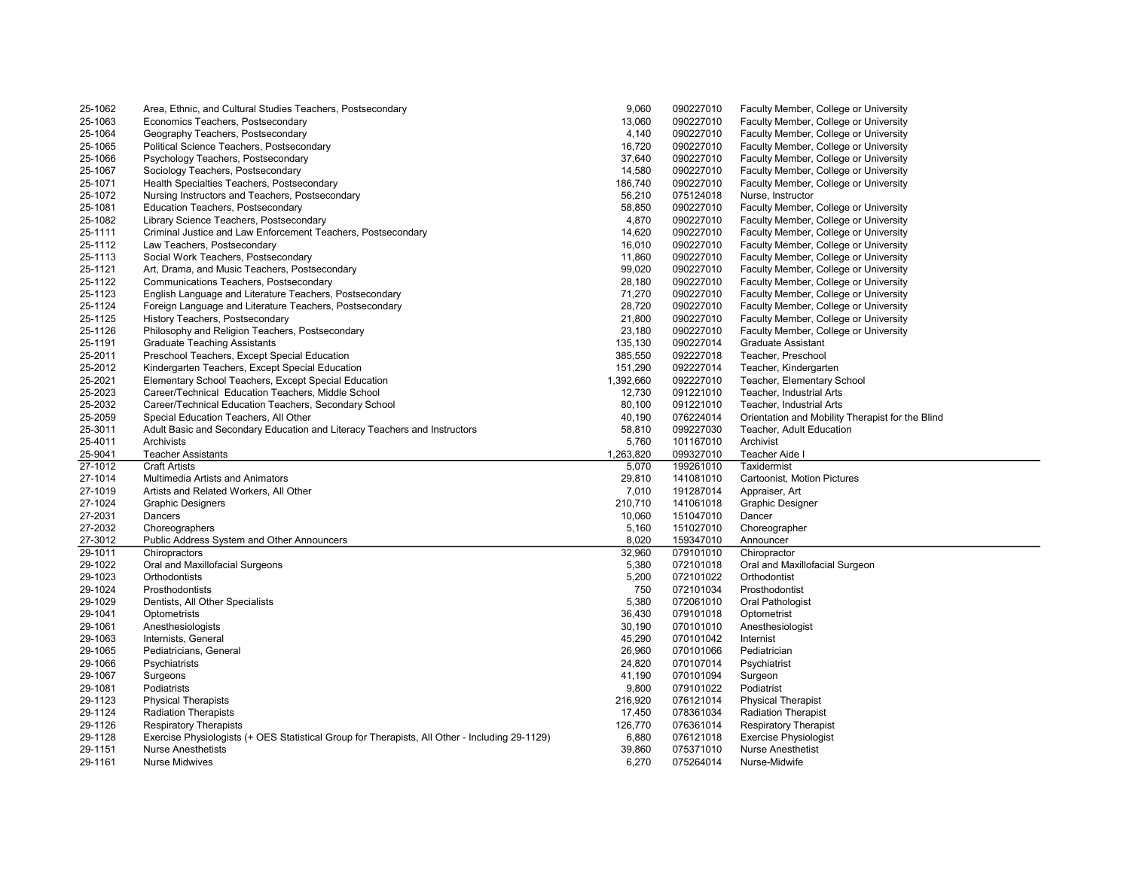| 25-1062            | Area, Ethnic, and Cultural Studies Teachers, Postsecondary                                                                      | 9,060            | 090227010              | Faculty Member, College or University                        |
|--------------------|---------------------------------------------------------------------------------------------------------------------------------|------------------|------------------------|--------------------------------------------------------------|
| 25-1063            | Economics Teachers, Postsecondary                                                                                               | 13,060           | 090227010              | Faculty Member, College or University                        |
| 25-1064            | Geography Teachers, Postsecondary                                                                                               | 4,140            | 090227010              | Faculty Member, College or University                        |
| 25-1065            | Political Science Teachers, Postsecondary                                                                                       | 16,720           | 090227010              | Faculty Member, College or University                        |
| 25-1066            | Psychology Teachers, Postsecondary                                                                                              | 37,640           | 090227010              | Faculty Member, College or University                        |
| 25-1067            | Sociology Teachers, Postsecondary                                                                                               | 14,580           | 090227010              | Faculty Member, College or University                        |
| 25-1071            | Health Specialties Teachers, Postsecondary                                                                                      | 186,740          | 090227010              | Faculty Member, College or University                        |
| 25-1072            | Nursing Instructors and Teachers, Postsecondary                                                                                 | 56,210           | 075124018              | Nurse, Instructor                                            |
| 25-1081            | Education Teachers, Postsecondary                                                                                               | 58,850           | 090227010              | Faculty Member, College or University                        |
| 25-1082            | Library Science Teachers, Postsecondary                                                                                         | 4,870            | 090227010              | Faculty Member, College or University                        |
| 25-1111            | Criminal Justice and Law Enforcement Teachers, Postsecondary                                                                    | 14,620           | 090227010              | Faculty Member, College or University                        |
| 25-1112            | Law Teachers, Postsecondary                                                                                                     | 16,010           | 090227010              | Faculty Member, College or University                        |
| 25-1113            | Social Work Teachers, Postsecondary                                                                                             | 11,860           | 090227010              | Faculty Member, College or University                        |
| 25-1121            | Art, Drama, and Music Teachers, Postsecondary                                                                                   | 99,020           | 090227010              | Faculty Member, College or University                        |
| 25-1122            | Communications Teachers, Postsecondary                                                                                          | 28,180           | 090227010              | Faculty Member, College or University                        |
| 25-1123            | English Language and Literature Teachers, Postsecondary                                                                         | 71,270           | 090227010              | Faculty Member, College or University                        |
| 25-1124            | Foreign Language and Literature Teachers, Postsecondary                                                                         | 28,720           | 090227010              | Faculty Member, College or University                        |
| 25-1125            | History Teachers, Postsecondary                                                                                                 | 21,800           | 090227010              | Faculty Member, College or University                        |
| 25-1126            | Philosophy and Religion Teachers, Postsecondary                                                                                 | 23,180           | 090227010              | Faculty Member, College or University                        |
| 25-1191            | <b>Graduate Teaching Assistants</b>                                                                                             | 135,130          | 090227014              | Graduate Assistant                                           |
| 25-2011            | Preschool Teachers, Except Special Education                                                                                    | 385,550          | 092227018              | Teacher, Preschool                                           |
| 25-2012            | Kindergarten Teachers, Except Special Education                                                                                 | 151,290          | 092227014              | Teacher, Kindergarten                                        |
| 25-2021            | Elementary School Teachers, Except Special Education                                                                            | 1,392,660        | 092227010              | Teacher, Elementary School                                   |
| 25-2023            | Career/Technical Education Teachers, Middle School                                                                              | 12,730           | 091221010              | Teacher, Industrial Arts                                     |
| 25-2032            | Career/Technical Education Teachers, Secondary School                                                                           | 80,100           | 091221010              | Teacher, Industrial Arts                                     |
| 25-2059            | Special Education Teachers, All Other                                                                                           | 40,190           | 076224014              | Orientation and Mobility Therapist for the Blind             |
| 25-3011            | Adult Basic and Secondary Education and Literacy Teachers and Instructors                                                       | 58,810           | 099227030              | Teacher, Adult Education                                     |
| 25-4011            | Archivists                                                                                                                      | 5,760            | 101167010              | Archivist                                                    |
|                    |                                                                                                                                 |                  |                        |                                                              |
| 25-9041            | <b>Teacher Assistants</b>                                                                                                       | 1,263,820        | 099327010              | Teacher Aide I                                               |
| 27-1012            | <b>Craft Artists</b>                                                                                                            | 5,070            | 199261010              | Taxidermist                                                  |
| 27-1014            | Multimedia Artists and Animators                                                                                                | 29,810           | 141081010              | Cartoonist, Motion Pictures                                  |
| 27-1019            | Artists and Related Workers, All Other                                                                                          | 7,010            | 191287014              | Appraiser, Art                                               |
| 27-1024            | <b>Graphic Designers</b>                                                                                                        | 210,710          | 141061018              | Graphic Designer                                             |
| 27-2031            | Dancers                                                                                                                         | 10,060           | 151047010              | Dancer                                                       |
|                    |                                                                                                                                 |                  |                        |                                                              |
| 27-2032<br>27-3012 | Choreographers                                                                                                                  | 5,160<br>8,020   | 151027010<br>159347010 | Choreographer<br>Announcer                                   |
| 29-1011            | Public Address System and Other Announcers<br>Chiropractors                                                                     | 32,960           | 079101010              | Chiropractor                                                 |
| 29-1022            |                                                                                                                                 | 5,380            | 072101018              | Oral and Maxillofacial Surgeon                               |
| 29-1023            | Oral and Maxillofacial Surgeons<br>Orthodontists                                                                                | 5,200            | 072101022              | Orthodontist                                                 |
| 29-1024            | Prosthodontists                                                                                                                 | 750              | 072101034              | Prosthodontist                                               |
| 29-1029            | Dentists, All Other Specialists                                                                                                 | 5,380            | 072061010              | Oral Pathologist                                             |
| 29-1041            | Optometrists                                                                                                                    | 36,430           | 079101018              | Optometrist                                                  |
|                    |                                                                                                                                 |                  |                        |                                                              |
| 29-1061<br>29-1063 | Anesthesiologists<br>Internists, General                                                                                        | 30,190<br>45,290 | 070101010<br>070101042 | Anesthesiologist<br>Internist                                |
|                    |                                                                                                                                 |                  |                        | Pediatrician                                                 |
| 29-1065            | Pediatricians, General                                                                                                          | 26,960           | 070101066              |                                                              |
| 29-1066<br>29-1067 | Psychiatrists                                                                                                                   | 24,820<br>41,190 | 070107014<br>070101094 | Psychiatrist                                                 |
|                    | Surgeons                                                                                                                        |                  |                        | Surgeon                                                      |
| 29-1081<br>29-1123 | Podiatrists<br><b>Physical Therapists</b>                                                                                       | 9,800<br>216,920 | 079101022<br>076121014 | Podiatrist<br><b>Physical Therapist</b>                      |
| 29-1124            | <b>Radiation Therapists</b>                                                                                                     | 17,450           | 078361034              | <b>Radiation Therapist</b>                                   |
| 29-1126            |                                                                                                                                 | 126,770          | 076361014              |                                                              |
| 29-1128            | <b>Respiratory Therapists</b><br>Exercise Physiologists (+ OES Statistical Group for Therapists, All Other - Including 29-1129) | 6,880            | 076121018              | <b>Respiratory Therapist</b><br><b>Exercise Physiologist</b> |
| 29-1151            | <b>Nurse Anesthetists</b>                                                                                                       | 39,860           | 075371010              | <b>Nurse Anesthetist</b>                                     |
| 29-1161            | <b>Nurse Midwives</b>                                                                                                           | 6,270            | 075264014              | Nurse-Midwife                                                |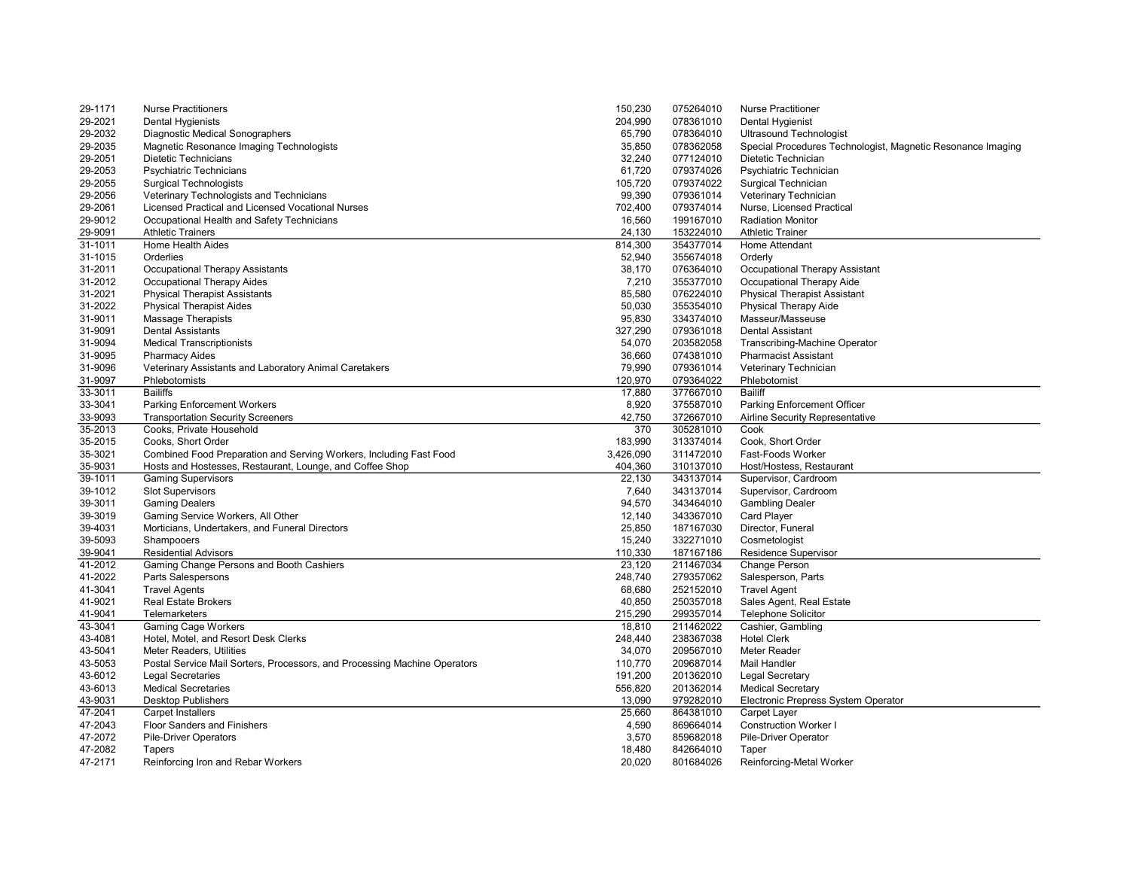| 29-1171 | <b>Nurse Practitioners</b>                                                | 150,230   | 075264010 | <b>Nurse Practitioner</b>                                   |
|---------|---------------------------------------------------------------------------|-----------|-----------|-------------------------------------------------------------|
| 29-2021 | <b>Dental Hygienists</b>                                                  | 204,990   | 078361010 | Dental Hygienist                                            |
| 29-2032 | Diagnostic Medical Sonographers                                           | 65,790    | 078364010 | <b>Ultrasound Technologist</b>                              |
| 29-2035 | Magnetic Resonance Imaging Technologists                                  | 35,850    | 078362058 | Special Procedures Technologist, Magnetic Resonance Imaging |
| 29-2051 | <b>Dietetic Technicians</b>                                               | 32,240    | 077124010 | Dietetic Technician                                         |
| 29-2053 | <b>Psychiatric Technicians</b>                                            | 61,720    | 079374026 | Psychiatric Technician                                      |
| 29-2055 | <b>Surgical Technologists</b>                                             | 105,720   | 079374022 | Surgical Technician                                         |
| 29-2056 | Veterinary Technologists and Technicians                                  | 99,390    | 079361014 | Veterinary Technician                                       |
| 29-2061 | Licensed Practical and Licensed Vocational Nurses                         | 702,400   | 079374014 | Nurse, Licensed Practical                                   |
| 29-9012 | Occupational Health and Safety Technicians                                | 16,560    | 199167010 | <b>Radiation Monitor</b>                                    |
| 29-9091 | <b>Athletic Trainers</b>                                                  | 24,130    | 153224010 | <b>Athletic Trainer</b>                                     |
| 31-1011 | Home Health Aides                                                         | 814,300   | 354377014 | Home Attendant                                              |
| 31-1015 | Orderlies                                                                 | 52,940    | 355674018 | Orderly                                                     |
| 31-2011 | <b>Occupational Therapy Assistants</b>                                    | 38,170    | 076364010 | Occupational Therapy Assistant                              |
| 31-2012 | <b>Occupational Therapy Aides</b>                                         | 7,210     | 355377010 | Occupational Therapy Aide                                   |
| 31-2021 | <b>Physical Therapist Assistants</b>                                      | 85,580    | 076224010 | <b>Physical Therapist Assistant</b>                         |
| 31-2022 | <b>Physical Therapist Aides</b>                                           | 50,030    | 355354010 |                                                             |
|         |                                                                           |           |           | Physical Therapy Aide                                       |
| 31-9011 | <b>Massage Therapists</b>                                                 | 95,830    | 334374010 | Masseur/Masseuse                                            |
| 31-9091 | <b>Dental Assistants</b>                                                  | 327,290   | 079361018 | Dental Assistant                                            |
| 31-9094 | <b>Medical Transcriptionists</b>                                          | 54,070    | 203582058 | Transcribing-Machine Operator                               |
| 31-9095 | <b>Pharmacy Aides</b>                                                     | 36,660    | 074381010 | <b>Pharmacist Assistant</b>                                 |
| 31-9096 | Veterinary Assistants and Laboratory Animal Caretakers                    | 79,990    | 079361014 | Veterinary Technician                                       |
| 31-9097 | Phlebotomists                                                             | 120,970   | 079364022 | Phlebotomist                                                |
| 33-3011 | <b>Bailiffs</b>                                                           | 17,880    | 377667010 | <b>Bailiff</b>                                              |
| 33-3041 | <b>Parking Enforcement Workers</b>                                        | 8,920     | 375587010 | Parking Enforcement Officer                                 |
| 33-9093 | <b>Transportation Security Screeners</b>                                  | 42,750    | 372667010 | Airline Security Representative                             |
| 35-2013 | Cooks, Private Household                                                  | 370       | 305281010 | Cook                                                        |
| 35-2015 | Cooks, Short Order                                                        | 183,990   | 313374014 | Cook, Short Order                                           |
| 35-3021 | Combined Food Preparation and Serving Workers, Including Fast Food        | 3,426,090 | 311472010 | Fast-Foods Worker                                           |
| 35-9031 | Hosts and Hostesses, Restaurant, Lounge, and Coffee Shop                  | 404,360   | 310137010 | Host/Hostess, Restaurant                                    |
| 39-1011 | <b>Gaming Supervisors</b>                                                 | 22,130    | 343137014 | Supervisor, Cardroom                                        |
| 39-1012 | <b>Slot Supervisors</b>                                                   | 7,640     | 343137014 | Supervisor, Cardroom                                        |
| 39-3011 | <b>Gaming Dealers</b>                                                     | 94,570    | 343464010 | <b>Gambling Dealer</b>                                      |
| 39-3019 | Gaming Service Workers, All Other                                         | 12,140    | 343367010 | Card Player                                                 |
| 39-4031 | Morticians, Undertakers, and Funeral Directors                            | 25,850    | 187167030 | Director, Funeral                                           |
| 39-5093 | Shampooers                                                                | 15,240    | 332271010 | Cosmetologist                                               |
| 39-9041 | <b>Residential Advisors</b>                                               | 110,330   | 187167186 | Residence Supervisor                                        |
| 41-2012 | Gaming Change Persons and Booth Cashiers                                  | 23,120    | 211467034 | Change Person                                               |
| 41-2022 | Parts Salespersons                                                        | 248,740   | 279357062 | Salesperson, Parts                                          |
| 41-3041 | <b>Travel Agents</b>                                                      | 68,680    | 252152010 | <b>Travel Agent</b>                                         |
| 41-9021 | <b>Real Estate Brokers</b>                                                | 40,850    | 250357018 | Sales Agent, Real Estate                                    |
| 41-9041 | Telemarketers                                                             | 215,290   | 299357014 | <b>Telephone Solicitor</b>                                  |
| 43-3041 | <b>Gaming Cage Workers</b>                                                | 18,810    | 211462022 | Cashier, Gambling                                           |
| 43-4081 | Hotel, Motel, and Resort Desk Clerks                                      | 248,440   | 238367038 | <b>Hotel Clerk</b>                                          |
| 43-5041 | <b>Meter Readers, Utilities</b>                                           | 34,070    | 209567010 | Meter Reader                                                |
| 43-5053 | Postal Service Mail Sorters, Processors, and Processing Machine Operators | 110,770   | 209687014 | Mail Handler                                                |
| 43-6012 | <b>Legal Secretaries</b>                                                  | 191,200   | 201362010 | <b>Legal Secretary</b>                                      |
| 43-6013 | <b>Medical Secretaries</b>                                                | 556,820   | 201362014 | <b>Medical Secretary</b>                                    |
| 43-9031 | <b>Desktop Publishers</b>                                                 | 13,090    | 979282010 | Electronic Prepress System Operator                         |
| 47-2041 | <b>Carpet Installers</b>                                                  | 25,660    | 864381010 | <b>Carpet Layer</b>                                         |
| 47-2043 | <b>Floor Sanders and Finishers</b>                                        | 4,590     | 869664014 | <b>Construction Worker I</b>                                |
| 47-2072 | <b>Pile-Driver Operators</b>                                              | 3,570     | 859682018 | Pile-Driver Operator                                        |
| 47-2082 | Tapers                                                                    | 18,480    | 842664010 | Taper                                                       |
| 47-2171 | Reinforcing Iron and Rebar Workers                                        | 20,020    | 801684026 | Reinforcing-Metal Worker                                    |
|         |                                                                           |           |           |                                                             |